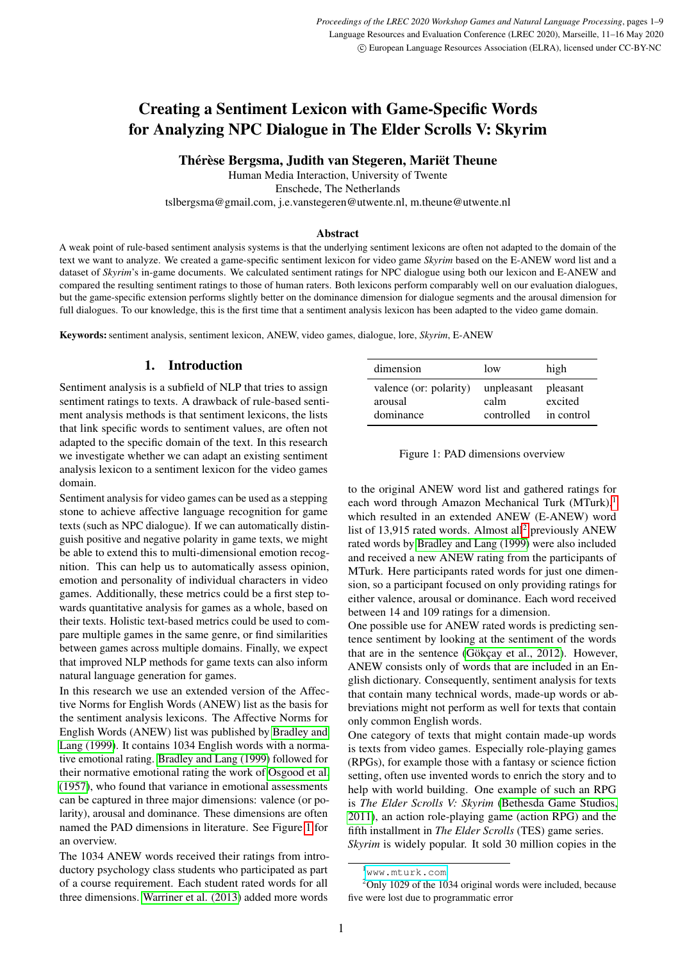# Creating a Sentiment Lexicon with Game-Specific Words for Analyzing NPC Dialogue in The Elder Scrolls V: Skyrim

Thérèse Bergsma, Judith van Stegeren, Mariët Theune

Human Media Interaction, University of Twente

Enschede, The Netherlands

tslbergsma@gmail.com, j.e.vanstegeren@utwente.nl, m.theune@utwente.nl

#### Abstract

A weak point of rule-based sentiment analysis systems is that the underlying sentiment lexicons are often not adapted to the domain of the text we want to analyze. We created a game-specific sentiment lexicon for video game *Skyrim* based on the E-ANEW word list and a dataset of *Skyrim*'s in-game documents. We calculated sentiment ratings for NPC dialogue using both our lexicon and E-ANEW and compared the resulting sentiment ratings to those of human raters. Both lexicons perform comparably well on our evaluation dialogues, but the game-specific extension performs slightly better on the dominance dimension for dialogue segments and the arousal dimension for full dialogues. To our knowledge, this is the first time that a sentiment analysis lexicon has been adapted to the video game domain.

Keywords: sentiment analysis, sentiment lexicon, ANEW, video games, dialogue, lore, *Skyrim*, E-ANEW

## 1. Introduction

Sentiment analysis is a subfield of NLP that tries to assign sentiment ratings to texts. A drawback of rule-based sentiment analysis methods is that sentiment lexicons, the lists that link specific words to sentiment values, are often not adapted to the specific domain of the text. In this research we investigate whether we can adapt an existing sentiment analysis lexicon to a sentiment lexicon for the video games domain.

Sentiment analysis for video games can be used as a stepping stone to achieve affective language recognition for game texts (such as NPC dialogue). If we can automatically distinguish positive and negative polarity in game texts, we might be able to extend this to multi-dimensional emotion recognition. This can help us to automatically assess opinion, emotion and personality of individual characters in video games. Additionally, these metrics could be a first step towards quantitative analysis for games as a whole, based on their texts. Holistic text-based metrics could be used to compare multiple games in the same genre, or find similarities between games across multiple domains. Finally, we expect that improved NLP methods for game texts can also inform natural language generation for games.

In this research we use an extended version of the Affective Norms for English Words (ANEW) list as the basis for the sentiment analysis lexicons. The Affective Norms for English Words (ANEW) list was published by [Bradley and](#page-7-0) [Lang \(1999\)](#page-7-0). It contains 1034 English words with a normative emotional rating. [Bradley and Lang \(1999\)](#page-7-0) followed for their normative emotional rating the work of [Osgood et al.](#page-8-0) [\(1957\)](#page-8-0), who found that variance in emotional assessments can be captured in three major dimensions: valence (or polarity), arousal and dominance. These dimensions are often named the PAD dimensions in literature. See Figure [1](#page-0-0) for an overview.

The 1034 ANEW words received their ratings from introductory psychology class students who participated as part of a course requirement. Each student rated words for all three dimensions. [Warriner et al. \(2013\)](#page-8-1) added more words

| dimension              | low        | high       |
|------------------------|------------|------------|
| valence (or: polarity) | unpleasant | pleasant   |
| arousal                | calm       | excited    |
| dominance              | controlled | in control |

<span id="page-0-0"></span>

|  |  |  | Figure 1: PAD dimensions overview |  |
|--|--|--|-----------------------------------|--|
|--|--|--|-----------------------------------|--|

to the original ANEW word list and gathered ratings for each word through Amazon Mechanical Turk (MTurk),<sup>[1](#page-0-1)</sup> which resulted in an extended ANEW (E-ANEW) word list of 13,915 rated words. Almost all<sup>[2](#page-0-2)</sup> previously ANEW rated words by [Bradley and Lang \(1999\)](#page-7-0) were also included and received a new ANEW rating from the participants of MTurk. Here participants rated words for just one dimension, so a participant focused on only providing ratings for either valence, arousal or dominance. Each word received between 14 and 109 ratings for a dimension.

One possible use for ANEW rated words is predicting sentence sentiment by looking at the sentiment of the words that are in the sentence (Gökçay et al., 2012). However, ANEW consists only of words that are included in an English dictionary. Consequently, sentiment analysis for texts that contain many technical words, made-up words or abbreviations might not perform as well for texts that contain only common English words.

One category of texts that might contain made-up words is texts from video games. Especially role-playing games (RPGs), for example those with a fantasy or science fiction setting, often use invented words to enrich the story and to help with world building. One example of such an RPG is *The Elder Scrolls V: Skyrim* [\(Bethesda Game Studios,](#page-7-2) [2011\)](#page-7-2), an action role-playing game (action RPG) and the fifth installment in *The Elder Scrolls* (TES) game series.

*Skyrim* is widely popular. It sold 30 million copies in the

<span id="page-0-2"></span><span id="page-0-1"></span><sup>1</sup><www.mturk.com>

 $2$ Only 1029 of the 1034 original words were included, because five were lost due to programmatic error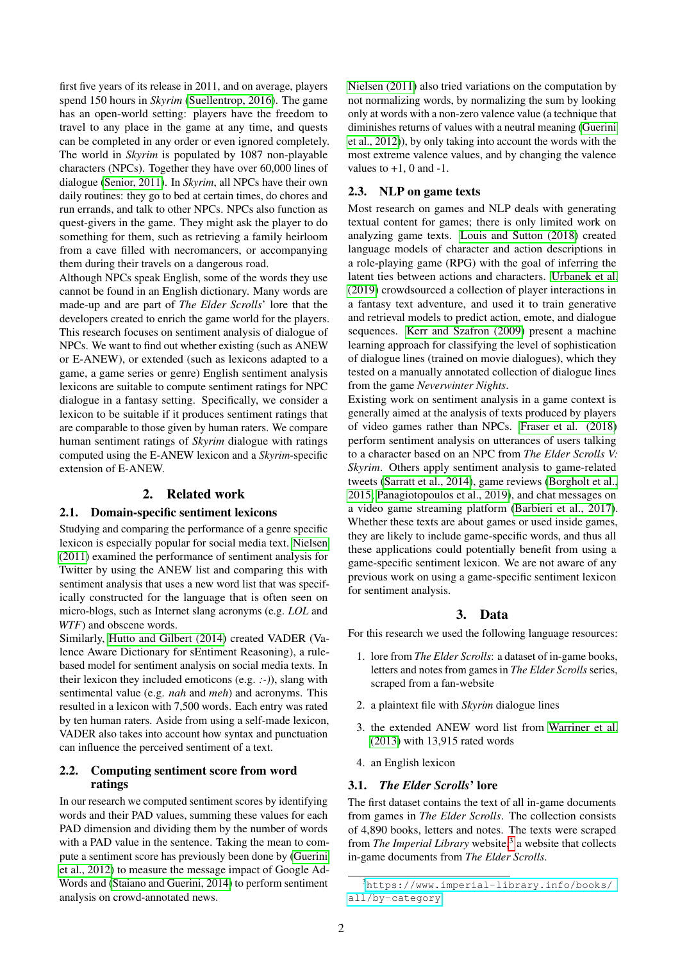first five years of its release in 2011, and on average, players spend 150 hours in *Skyrim* [\(Suellentrop, 2016\)](#page-8-2). The game has an open-world setting: players have the freedom to travel to any place in the game at any time, and quests can be completed in any order or even ignored completely. The world in *Skyrim* is populated by 1087 non-playable characters (NPCs). Together they have over 60,000 lines of dialogue [\(Senior, 2011\)](#page-8-3). In *Skyrim*, all NPCs have their own daily routines: they go to bed at certain times, do chores and run errands, and talk to other NPCs. NPCs also function as quest-givers in the game. They might ask the player to do something for them, such as retrieving a family heirloom from a cave filled with necromancers, or accompanying them during their travels on a dangerous road.

Although NPCs speak English, some of the words they use cannot be found in an English dictionary. Many words are made-up and are part of *The Elder Scrolls*' lore that the developers created to enrich the game world for the players. This research focuses on sentiment analysis of dialogue of NPCs. We want to find out whether existing (such as ANEW or E-ANEW), or extended (such as lexicons adapted to a game, a game series or genre) English sentiment analysis lexicons are suitable to compute sentiment ratings for NPC dialogue in a fantasy setting. Specifically, we consider a lexicon to be suitable if it produces sentiment ratings that are comparable to those given by human raters. We compare human sentiment ratings of *Skyrim* dialogue with ratings computed using the E-ANEW lexicon and a *Skyrim*-specific extension of E-ANEW.

## 2. Related work

#### 2.1. Domain-specific sentiment lexicons

Studying and comparing the performance of a genre specific lexicon is especially popular for social media text. [Nielsen](#page-8-4) [\(2011\)](#page-8-4) examined the performance of sentiment analysis for Twitter by using the ANEW list and comparing this with sentiment analysis that uses a new word list that was specifically constructed for the language that is often seen on micro-blogs, such as Internet slang acronyms (e.g. *LOL* and *WTF*) and obscene words.

Similarly, [Hutto and Gilbert \(2014\)](#page-7-3) created VADER (Valence Aware Dictionary for sEntiment Reasoning), a rulebased model for sentiment analysis on social media texts. In their lexicon they included emoticons (e.g. *:-)*), slang with sentimental value (e.g. *nah* and *meh*) and acronyms. This resulted in a lexicon with 7,500 words. Each entry was rated by ten human raters. Aside from using a self-made lexicon, VADER also takes into account how syntax and punctuation can influence the perceived sentiment of a text.

## 2.2. Computing sentiment score from word ratings

In our research we computed sentiment scores by identifying words and their PAD values, summing these values for each PAD dimension and dividing them by the number of words with a PAD value in the sentence. Taking the mean to compute a sentiment score has previously been done by [\(Guerini](#page-7-4) [et al., 2012\)](#page-7-4) to measure the message impact of Google Ad-Words and [\(Staiano and Guerini, 2014\)](#page-8-5) to perform sentiment analysis on crowd-annotated news.

[Nielsen \(2011\)](#page-8-4) also tried variations on the computation by not normalizing words, by normalizing the sum by looking only at words with a non-zero valence value (a technique that diminishes returns of values with a neutral meaning [\(Guerini](#page-7-4) [et al., 2012\)](#page-7-4)), by only taking into account the words with the most extreme valence values, and by changing the valence values to  $+1$ , 0 and  $-1$ .

## 2.3. NLP on game texts

Most research on games and NLP deals with generating textual content for games; there is only limited work on analyzing game texts. [Louis and Sutton \(2018\)](#page-7-5) created language models of character and action descriptions in a role-playing game (RPG) with the goal of inferring the latent ties between actions and characters. [Urbanek et al.](#page-8-6) [\(2019\)](#page-8-6) crowdsourced a collection of player interactions in a fantasy text adventure, and used it to train generative and retrieval models to predict action, emote, and dialogue sequences. [Kerr and Szafron \(2009\)](#page-7-6) present a machine learning approach for classifying the level of sophistication of dialogue lines (trained on movie dialogues), which they tested on a manually annotated collection of dialogue lines from the game *Neverwinter Nights*.

Existing work on sentiment analysis in a game context is generally aimed at the analysis of texts produced by players of video games rather than NPCs. [Fraser et al. \(2018\)](#page-7-7) perform sentiment analysis on utterances of users talking to a character based on an NPC from *The Elder Scrolls V: Skyrim*. Others apply sentiment analysis to game-related tweets [\(Sarratt et al., 2014\)](#page-8-7), game reviews [\(Borgholt et al.,](#page-7-8) [2015;](#page-7-8) [Panagiotopoulos et al., 2019\)](#page-8-8), and chat messages on a video game streaming platform [\(Barbieri et al., 2017\)](#page-7-9). Whether these texts are about games or used inside games, they are likely to include game-specific words, and thus all these applications could potentially benefit from using a game-specific sentiment lexicon. We are not aware of any previous work on using a game-specific sentiment lexicon for sentiment analysis.

#### 3. Data

For this research we used the following language resources:

- 1. lore from *The Elder Scrolls*: a dataset of in-game books, letters and notes from games in *The Elder Scrolls* series, scraped from a fan-website
- 2. a plaintext file with *Skyrim* dialogue lines
- 3. the extended ANEW word list from [Warriner et al.](#page-8-1) [\(2013\)](#page-8-1) with 13,915 rated words
- 4. an English lexicon

#### 3.1. *The Elder Scrolls*' lore

The first dataset contains the text of all in-game documents from games in *The Elder Scrolls*. The collection consists of 4,890 books, letters and notes. The texts were scraped from *The Imperial Library* website,<sup>[3](#page-1-0)</sup> a website that collects in-game documents from *The Elder Scrolls*.

<span id="page-1-0"></span><sup>3</sup>[https://www.imperial-library.info/books/](https://www.imperial-library.info/books/all/by-category) [all/by-category](https://www.imperial-library.info/books/all/by-category)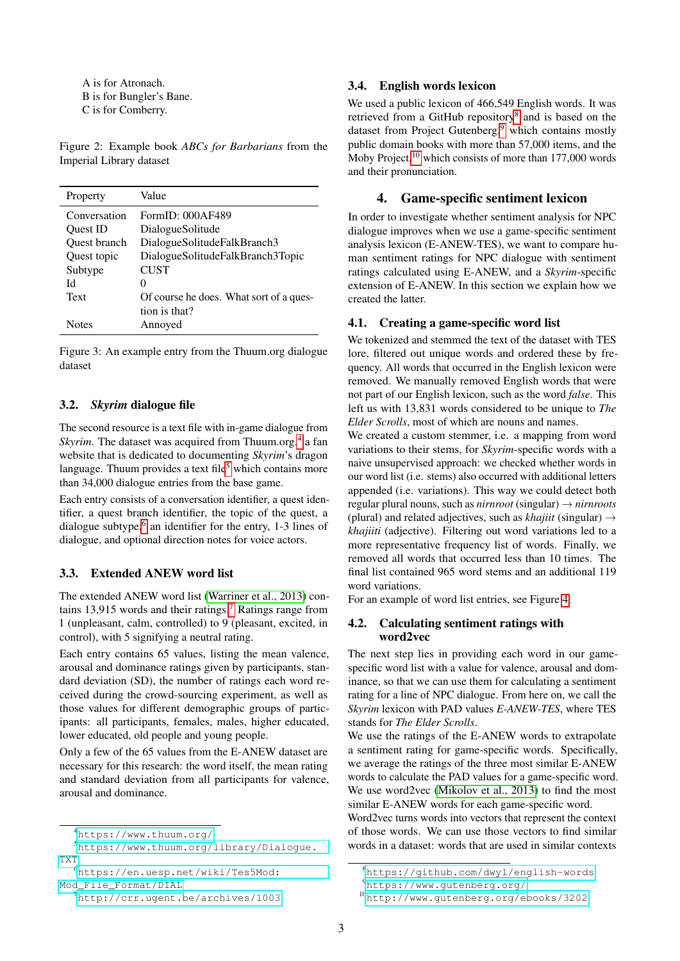A is for Atronach. B is for Bungler's Bane. C is for Comberry.

Figure 2: Example book *ABCs for Barbarians* from the Imperial Library dataset

| Property            | Value                                   |
|---------------------|-----------------------------------------|
| Conversation        | FormID: 000AF489                        |
| Ouest ID            | Dialogue Solitude                       |
| <b>Ouest</b> branch | DialogueSolitudeFalkBranch3             |
| Quest topic         | DialogueSolitudeFalkBranch3Topic        |
| Subtype             | <b>CUST</b>                             |
| И                   | $^{(1)}$                                |
| Text                | Of course he does. What sort of a ques- |
|                     | tion is that?                           |
| <b>Notes</b>        | Annoyed                                 |

Figure 3: An example entry from the Thuum.org dialogue dataset

## <span id="page-2-7"></span>3.2. *Skyrim* dialogue file

The second resource is a text file with in-game dialogue from Skyrim. The dataset was acquired from Thuum.org,<sup>[4](#page-2-0)</sup> a fan website that is dedicated to documenting *Skyrim*'s dragon language. Thuum provides a text file<sup>[5](#page-2-1)</sup> which contains more than 34,000 dialogue entries from the base game.

Each entry consists of a conversation identifier, a quest identifier, a quest branch identifier, the topic of the quest, a dialogue subtype,<sup>[6](#page-2-2)</sup> an identifier for the entry, 1-3 lines of dialogue, and optional direction notes for voice actors.

## 3.3. Extended ANEW word list

The extended ANEW word list [\(Warriner et al., 2013\)](#page-8-1) con-tains 13,915 words and their ratings.<sup>[7](#page-2-3)</sup> Ratings range from 1 (unpleasant, calm, controlled) to 9 (pleasant, excited, in control), with 5 signifying a neutral rating.

Each entry contains 65 values, listing the mean valence, arousal and dominance ratings given by participants, standard deviation (SD), the number of ratings each word received during the crowd-sourcing experiment, as well as those values for different demographic groups of participants: all participants, females, males, higher educated, lower educated, old people and young people.

Only a few of the 65 values from the E-ANEW dataset are necessary for this research: the word itself, the mean rating and standard deviation from all participants for valence, arousal and dominance.

## 3.4. English words lexicon

We used a public lexicon of 466,549 English words. It was retrieved from a GitHub repository<sup>[8](#page-2-4)</sup> and is based on the dataset from Project Gutenberg, $9$  which contains mostly public domain books with more than 57,000 items, and the Moby Project, $10$  which consists of more than 177,000 words and their pronunciation.

### 4. Game-specific sentiment lexicon

In order to investigate whether sentiment analysis for NPC dialogue improves when we use a game-specific sentiment analysis lexicon (E-ANEW-TES), we want to compare human sentiment ratings for NPC dialogue with sentiment ratings calculated using E-ANEW, and a *Skyrim*-specific extension of E-ANEW. In this section we explain how we created the latter.

#### 4.1. Creating a game-specific word list

We tokenized and stemmed the text of the dataset with TES lore, filtered out unique words and ordered these by frequency. All words that occurred in the English lexicon were removed. We manually removed English words that were not part of our English lexicon, such as the word *false*. This left us with 13,831 words considered to be unique to *The Elder Scrolls*, most of which are nouns and names.

We created a custom stemmer, *i.e.* a mapping from word variations to their stems, for *Skyrim*-specific words with a naive unsupervised approach: we checked whether words in our word list (i.e. stems) also occurred with additional letters appended (i.e. variations). This way we could detect both regular plural nouns, such as *nirnroot* (singular) → *nirnroots* (plural) and related adjectives, such as *khajiit* (singular)  $\rightarrow$ *khajiiti* (adjective). Filtering out word variations led to a more representative frequency list of words. Finally, we removed all words that occurred less than 10 times. The final list contained 965 word stems and an additional 119 word variations.

For an example of word list entries, see Figure [4.](#page-3-0)

#### 4.2. Calculating sentiment ratings with word2vec

The next step lies in providing each word in our gamespecific word list with a value for valence, arousal and dominance, so that we can use them for calculating a sentiment rating for a line of NPC dialogue. From here on, we call the *Skyrim* lexicon with PAD values *E-ANEW-TES*, where TES stands for *The Elder Scrolls*.

We use the ratings of the E-ANEW words to extrapolate a sentiment rating for game-specific words. Specifically, we average the ratings of the three most similar E-ANEW words to calculate the PAD values for a game-specific word. We use word2vec [\(Mikolov et al., 2013\)](#page-8-9) to find the most similar E-ANEW words for each game-specific word.

Word2vec turns words into vectors that represent the context of those words. We can use those vectors to find similar words in a dataset: words that are used in similar contexts

<span id="page-2-1"></span><span id="page-2-0"></span><sup>4</sup><https://www.thuum.org/>

<sup>5</sup>[https://www.thuum.org/library/Dialogue.](https://www.thuum.org/library/Dialogue.TXT) [TXT](https://www.thuum.org/library/Dialogue.TXT)

<span id="page-2-2"></span><sup>6</sup>[https://en.uesp.net/wiki/Tes5Mod:](https://en.uesp.net/wiki/Tes5Mod:Mod_File_Format/DIAL)

[Mod\\_File\\_Format/DIAL](https://en.uesp.net/wiki/Tes5Mod:Mod_File_Format/DIAL)

<span id="page-2-3"></span><sup>7</sup><http://crr.ugent.be/archives/1003>

<span id="page-2-4"></span><sup>8</sup><https://github.com/dwyl/english-words>

<span id="page-2-5"></span><sup>9</sup><https://www.gutenberg.org/>

<span id="page-2-6"></span><sup>10</sup><http://www.gutenberg.org/ebooks/3202>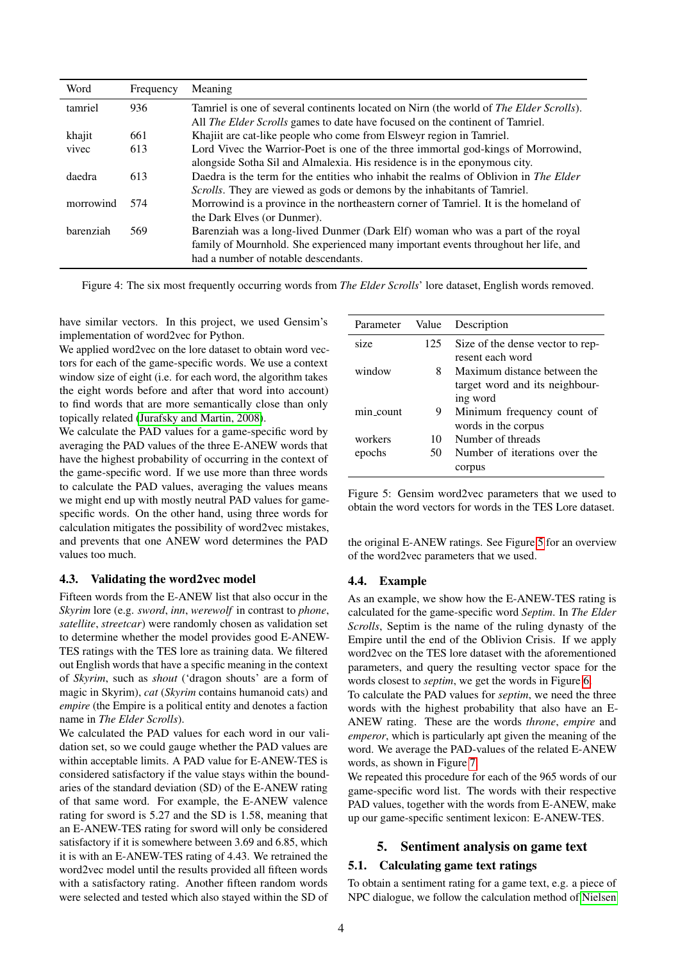| Word      | Frequency | Meaning                                                                                |
|-----------|-----------|----------------------------------------------------------------------------------------|
| tamriel   | 936       | Tamriel is one of several continents located on Nirn (the world of The Elder Scrolls). |
|           |           | All <i>The Elder Scrolls</i> games to date have focused on the continent of Tamriel.   |
| khajit    | 661       | Khajiit are cat-like people who come from Elsweyr region in Tamriel.                   |
| vivec     | 613       | Lord Vivec the Warrior-Poet is one of the three immortal god-kings of Morrowind,       |
|           |           | alongside Sotha Sil and Almalexia. His residence is in the eponymous city.             |
| daedra    | 613       | Daedra is the term for the entities who inhabit the realms of Oblivion in The Elder    |
|           |           | Scrolls. They are viewed as gods or demons by the inhabitants of Tamriel.              |
| morrowind | 574       | Morrowind is a province in the northeastern corner of Tamriel. It is the homeland of   |
|           |           | the Dark Elves (or Dunmer).                                                            |
| harenziah | 569       | Barenziah was a long-lived Dunmer (Dark Elf) woman who was a part of the royal         |
|           |           | family of Mournhold. She experienced many important events throughout her life, and    |
|           |           | had a number of notable descendants.                                                   |

<span id="page-3-0"></span>Figure 4: The six most frequently occurring words from *The Elder Scrolls*' lore dataset, English words removed.

have similar vectors. In this project, we used Gensim's implementation of word2vec for Python.

We applied word2vec on the lore dataset to obtain word vectors for each of the game-specific words. We use a context window size of eight (i.e. for each word, the algorithm takes the eight words before and after that word into account) to find words that are more semantically close than only topically related [\(Jurafsky and Martin, 2008\)](#page-7-10).

We calculate the PAD values for a game-specific word by averaging the PAD values of the three E-ANEW words that have the highest probability of occurring in the context of the game-specific word. If we use more than three words to calculate the PAD values, averaging the values means we might end up with mostly neutral PAD values for gamespecific words. On the other hand, using three words for calculation mitigates the possibility of word2vec mistakes, and prevents that one ANEW word determines the PAD values too much.

# <span id="page-3-2"></span>4.3. Validating the word2vec model

Fifteen words from the E-ANEW list that also occur in the *Skyrim* lore (e.g. *sword*, *inn*, *werewolf* in contrast to *phone*, *satellite*, *streetcar*) were randomly chosen as validation set to determine whether the model provides good E-ANEW-TES ratings with the TES lore as training data. We filtered out English words that have a specific meaning in the context of *Skyrim*, such as *shout* ('dragon shouts' are a form of magic in Skyrim), *cat* (*Skyrim* contains humanoid cats) and *empire* (the Empire is a political entity and denotes a faction name in *The Elder Scrolls*).

We calculated the PAD values for each word in our validation set, so we could gauge whether the PAD values are within acceptable limits. A PAD value for E-ANEW-TES is considered satisfactory if the value stays within the boundaries of the standard deviation (SD) of the E-ANEW rating of that same word. For example, the E-ANEW valence rating for sword is 5.27 and the SD is 1.58, meaning that an E-ANEW-TES rating for sword will only be considered satisfactory if it is somewhere between 3.69 and 6.85, which it is with an E-ANEW-TES rating of 4.43. We retrained the word2vec model until the results provided all fifteen words with a satisfactory rating. Another fifteen random words were selected and tested which also stayed within the SD of

| Parameter    | Value | Description                      |
|--------------|-------|----------------------------------|
| size         | 125   | Size of the dense vector to rep- |
|              |       | resent each word                 |
| window       | 8     | Maximum distance between the     |
|              |       | target word and its neighbour-   |
|              |       | ing word                         |
| $min\_count$ | 9     | Minimum frequency count of       |
|              |       | words in the corpus              |
| workers      | 10    | Number of threads                |
| epochs       | 50    | Number of iterations over the    |
|              |       | corpus                           |

<span id="page-3-1"></span>Figure 5: Gensim word2vec parameters that we used to obtain the word vectors for words in the TES Lore dataset.

the original E-ANEW ratings. See Figure [5](#page-3-1) for an overview of the word2vec parameters that we used.

#### 4.4. Example

As an example, we show how the E-ANEW-TES rating is calculated for the game-specific word *Septim*. In *The Elder Scrolls*, Septim is the name of the ruling dynasty of the Empire until the end of the Oblivion Crisis. If we apply word2vec on the TES lore dataset with the aforementioned parameters, and query the resulting vector space for the words closest to *septim*, we get the words in Figure [6.](#page-4-0)

To calculate the PAD values for *septim*, we need the three words with the highest probability that also have an E-ANEW rating. These are the words *throne*, *empire* and *emperor*, which is particularly apt given the meaning of the word. We average the PAD-values of the related E-ANEW words, as shown in Figure [7.](#page-4-1)

We repeated this procedure for each of the 965 words of our game-specific word list. The words with their respective PAD values, together with the words from E-ANEW, make up our game-specific sentiment lexicon: E-ANEW-TES.

# 5. Sentiment analysis on game text

#### 5.1. Calculating game text ratings

To obtain a sentiment rating for a game text, e.g. a piece of NPC dialogue, we follow the calculation method of [Nielsen](#page-8-4)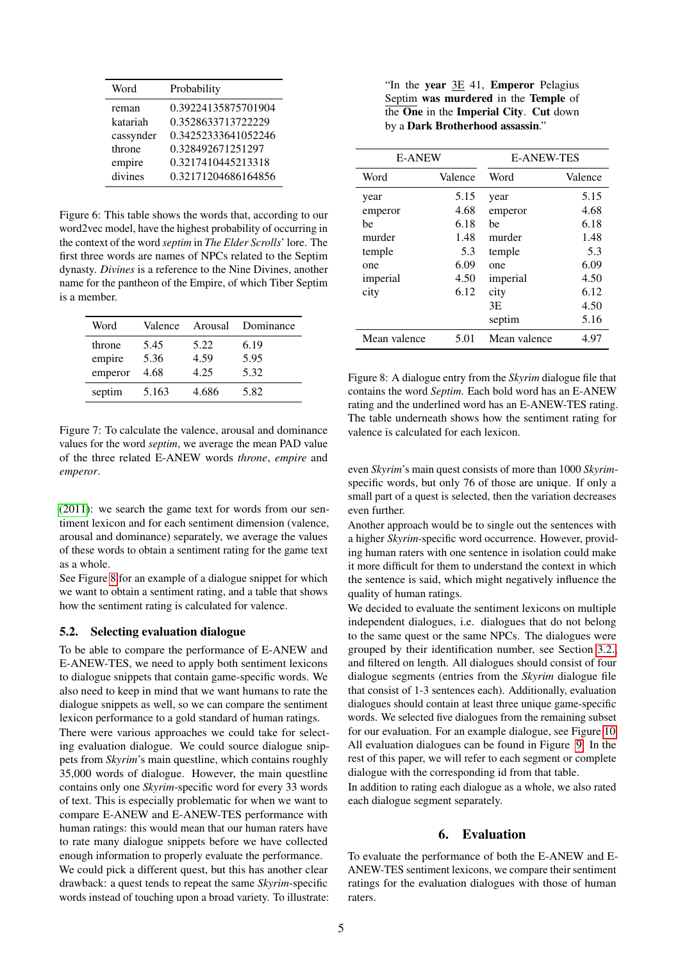| Probability         |
|---------------------|
| 0.39224135875701904 |
| 0.3528633713722229  |
| 0.34252333641052246 |
| 0.328492671251297   |
| 0.3217410445213318  |
| 0.32171204686164856 |
|                     |

<span id="page-4-0"></span>Figure 6: This table shows the words that, according to our word2vec model, have the highest probability of occurring in the context of the word *septim* in *The Elder Scrolls*' lore. The first three words are names of NPCs related to the Septim dynasty. *Divines* is a reference to the Nine Divines, another name for the pantheon of the Empire, of which Tiber Septim is a member.

| Word    | Valence | Arousal | Dominance |
|---------|---------|---------|-----------|
| throne  | 5.45    | 5.22    | 6.19      |
| empire  | 5.36    | 4.59    | 5.95      |
| emperor | 4.68    | 4.25    | 5.32      |
| septim  | 5.163   | 4.686   | 5.82      |

<span id="page-4-1"></span>Figure 7: To calculate the valence, arousal and dominance values for the word *septim*, we average the mean PAD value of the three related E-ANEW words *throne*, *empire* and *emperor*.

[\(2011\)](#page-8-4): we search the game text for words from our sentiment lexicon and for each sentiment dimension (valence, arousal and dominance) separately, we average the values of these words to obtain a sentiment rating for the game text as a whole.

See Figure [8](#page-4-2) for an example of a dialogue snippet for which we want to obtain a sentiment rating, and a table that shows how the sentiment rating is calculated for valence.

## 5.2. Selecting evaluation dialogue

To be able to compare the performance of E-ANEW and E-ANEW-TES, we need to apply both sentiment lexicons to dialogue snippets that contain game-specific words. We also need to keep in mind that we want humans to rate the dialogue snippets as well, so we can compare the sentiment lexicon performance to a gold standard of human ratings.

There were various approaches we could take for selecting evaluation dialogue. We could source dialogue snippets from *Skyrim*'s main questline, which contains roughly 35,000 words of dialogue. However, the main questline contains only one *Skyrim*-specific word for every 33 words of text. This is especially problematic for when we want to compare E-ANEW and E-ANEW-TES performance with human ratings: this would mean that our human raters have to rate many dialogue snippets before we have collected enough information to properly evaluate the performance.

We could pick a different quest, but this has another clear drawback: a quest tends to repeat the same *Skyrim*-specific words instead of touching upon a broad variety. To illustrate:

"In the year 3E 41, Emperor Pelagius Septim was murdered in the Temple of  $\overline{the One}$  in the **Imperial City. Cut** down by a Dark Brotherhood assassin."

| <b>E-ANEW</b> |         | <b>E-ANEW-TES</b> |         |  |  |
|---------------|---------|-------------------|---------|--|--|
| Word          | Valence | Word              | Valence |  |  |
| year          | 5.15    | year              | 5.15    |  |  |
| emperor       | 4.68    | emperor           | 4.68    |  |  |
| be            | 6.18    | he                | 6.18    |  |  |
| murder        | 1.48    | murder            | 1.48    |  |  |
| temple        | 5.3     | temple            | 5.3     |  |  |
| one           | 6.09    | one               | 6.09    |  |  |
| imperial      | 4.50    | imperial          | 4.50    |  |  |
| city          | 6.12    | city              | 6.12    |  |  |
|               |         | 3E                | 4.50    |  |  |
|               |         | septim            | 5.16    |  |  |
| Mean valence  | 5.01    | Mean valence      | 4.97    |  |  |

<span id="page-4-2"></span>Figure 8: A dialogue entry from the *Skyrim* dialogue file that contains the word *Septim*. Each bold word has an E-ANEW rating and the underlined word has an E-ANEW-TES rating. The table underneath shows how the sentiment rating for valence is calculated for each lexicon.

even *Skyrim*'s main quest consists of more than 1000 *Skyrim*specific words, but only 76 of those are unique. If only a small part of a quest is selected, then the variation decreases even further.

Another approach would be to single out the sentences with a higher *Skyrim*-specific word occurrence. However, providing human raters with one sentence in isolation could make it more difficult for them to understand the context in which the sentence is said, which might negatively influence the quality of human ratings.

We decided to evaluate the sentiment lexicons on multiple independent dialogues, i.e. dialogues that do not belong to the same quest or the same NPCs. The dialogues were grouped by their identification number, see Section [3.2.,](#page-2-7) and filtered on length. All dialogues should consist of four dialogue segments (entries from the *Skyrim* dialogue file that consist of 1-3 sentences each). Additionally, evaluation dialogues should contain at least three unique game-specific words. We selected five dialogues from the remaining subset for our evaluation. For an example dialogue, see Figure [10.](#page-6-0) All evaluation dialogues can be found in Figure [9.](#page-5-0) In the rest of this paper, we will refer to each segment or complete dialogue with the corresponding id from that table.

In addition to rating each dialogue as a whole, we also rated each dialogue segment separately.

## 6. Evaluation

To evaluate the performance of both the E-ANEW and E-ANEW-TES sentiment lexicons, we compare their sentiment ratings for the evaluation dialogues with those of human raters.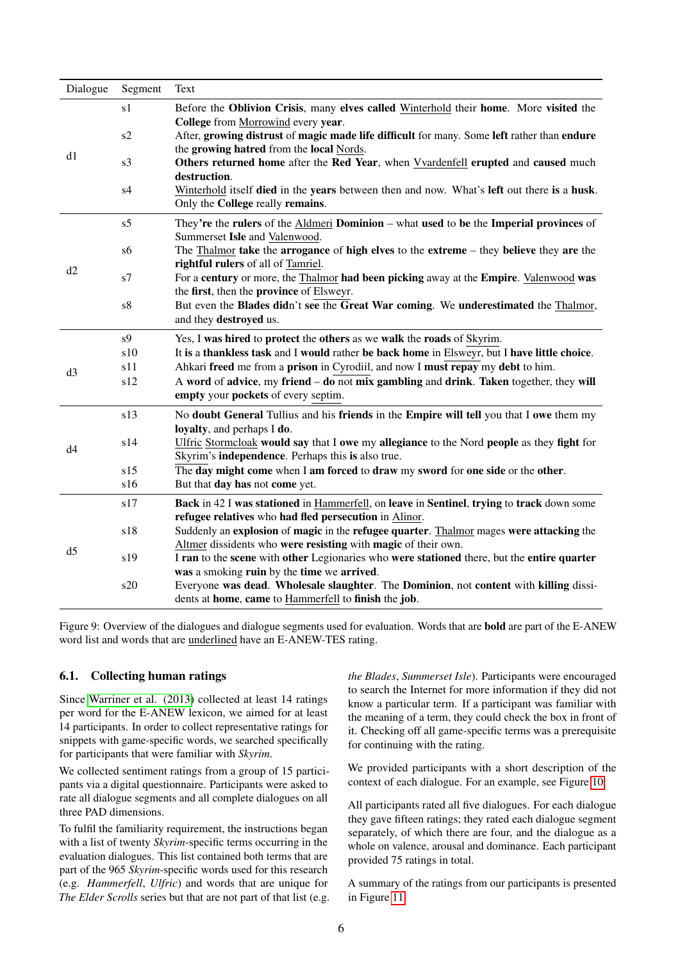| Dialogue       | Segment    | Text                                                                                                                                                     |
|----------------|------------|----------------------------------------------------------------------------------------------------------------------------------------------------------|
|                | s1         | Before the Oblivion Crisis, many elves called Winterhold their home. More visited the                                                                    |
|                | s2         | College from Morrowind every year.                                                                                                                       |
| d1             |            | After, growing distrust of magic made life difficult for many. Some left rather than endure<br>the growing hatred from the local Nords.                  |
|                | s3         | Others returned home after the Red Year, when Vvardenfell erupted and caused much                                                                        |
|                |            | destruction.                                                                                                                                             |
|                | s4         | Winterhold itself died in the years between then and now. What's left out there is a husk.                                                               |
|                |            | Only the College really remains.                                                                                                                         |
|                | s5         | They're the rulers of the Aldmeri Dominion – what used to be the Imperial provinces of                                                                   |
|                |            | Summerset Isle and Valenwood.                                                                                                                            |
|                | s6         | The Thalmor take the arrogance of high elves to the extreme – they believe they are the                                                                  |
| d2             |            | rightful rulers of all of Tamriel.                                                                                                                       |
|                | s7         | For a century or more, the Thalmor had been picking away at the Empire. Valenwood was                                                                    |
|                | ${\rm s}8$ | the first, then the province of Elsweyr.<br>But even the Blades didn't see the Great War coming. We underestimated the Thalmor,                          |
|                |            | and they destroyed us.                                                                                                                                   |
|                | s9         | Yes, I was hired to protect the others as we walk the roads of Skyrim.                                                                                   |
|                | s10        | It is a thankless task and I would rather be back home in Elsweyr, but I have little choice.                                                             |
|                | s11        | Ahkari freed me from a prison in Cyrodiil, and now I must repay my debt to him.                                                                          |
| d3             | s12        | A word of advice, my friend $-$ do not mix gambling and drink. Taken together, they will                                                                 |
|                |            | empty your pockets of every septim.                                                                                                                      |
|                | s13        | No doubt General Tullius and his friends in the Empire will tell you that I owe them my                                                                  |
|                |            | loyalty, and perhaps I do.                                                                                                                               |
| d4             | s14        | Ulfric Stormcloak would say that I owe my allegiance to the Nord people as they fight for                                                                |
|                |            | Skyrim's <b>independence</b> . Perhaps this is also true.                                                                                                |
|                | s15        | The day might come when I am forced to draw my sword for one side or the other.                                                                          |
|                | s16        | But that day has not come yet.                                                                                                                           |
|                | s17        | Back in 42 I was stationed in Hammerfell, on leave in Sentinel, trying to track down some                                                                |
| d <sub>5</sub> |            | refugee relatives who had fled persecution in Alinor.                                                                                                    |
|                | s18        | Suddenly an explosion of magic in the refugee quarter. Thalmor mages were attacking the<br>Altmer dissidents who were resisting with magic of their own. |
|                | s19        | I ran to the scene with other Legionaries who were stationed there, but the entire quarter                                                               |
|                |            | was a smoking ruin by the time we arrived.                                                                                                               |
|                | s20        | Everyone was dead. Wholesale slaughter. The Dominion, not content with killing dissi-                                                                    |
|                |            | dents at home, came to Hammerfell to finish the job.                                                                                                     |

<span id="page-5-0"></span>Figure 9: Overview of the dialogues and dialogue segments used for evaluation. Words that are bold are part of the E-ANEW word list and words that are underlined have an E-ANEW-TES rating.

## 6.1. Collecting human ratings

Since [Warriner et al. \(2013\)](#page-8-1) collected at least 14 ratings per word for the E-ANEW lexicon, we aimed for at least 14 participants. In order to collect representative ratings for snippets with game-specific words, we searched specifically for participants that were familiar with *Skyrim*.

We collected sentiment ratings from a group of 15 participants via a digital questionnaire. Participants were asked to rate all dialogue segments and all complete dialogues on all three PAD dimensions.

To fulfil the familiarity requirement, the instructions began with a list of twenty *Skyrim*-specific terms occurring in the evaluation dialogues. This list contained both terms that are part of the 965 *Skyrim*-specific words used for this research (e.g. *Hammerfell*, *Ulfric*) and words that are unique for *The Elder Scrolls* series but that are not part of that list (e.g. *the Blades*, *Summerset Isle*). Participants were encouraged to search the Internet for more information if they did not know a particular term. If a participant was familiar with the meaning of a term, they could check the box in front of it. Checking off all game-specific terms was a prerequisite for continuing with the rating.

We provided participants with a short description of the context of each dialogue. For an example, see Figure [10.](#page-6-0)

All participants rated all five dialogues. For each dialogue they gave fifteen ratings; they rated each dialogue segment separately, of which there are four, and the dialogue as a whole on valence, arousal and dominance. Each participant provided 75 ratings in total.

A summary of the ratings from our participants is presented in Figure [11.](#page-7-11)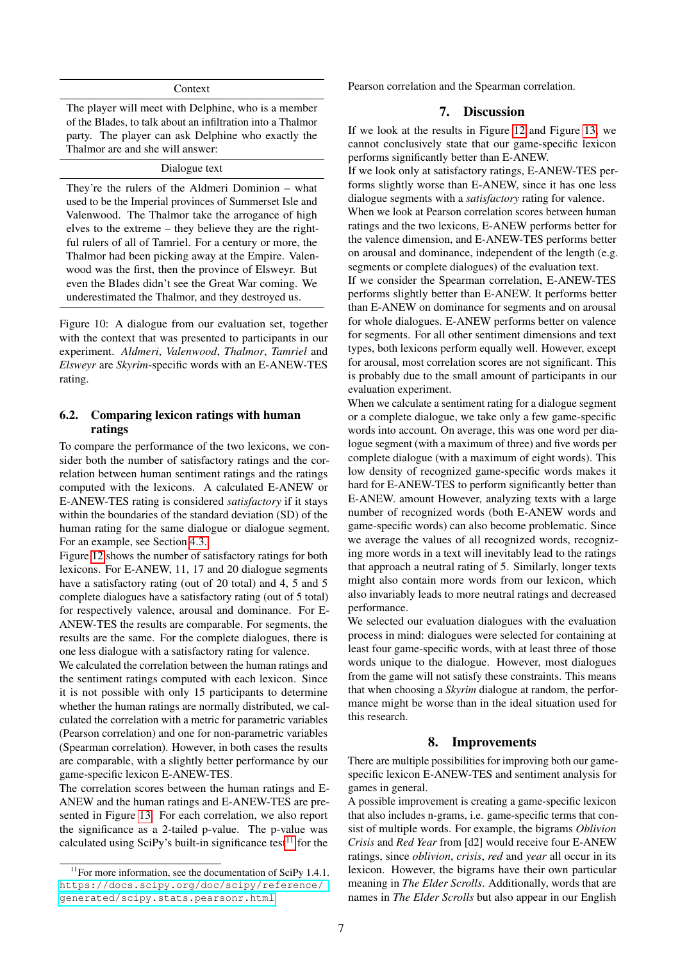#### Context

The player will meet with Delphine, who is a member of the Blades, to talk about an infiltration into a Thalmor party. The player can ask Delphine who exactly the Thalmor are and she will answer:

#### Dialogue text

They're the rulers of the Aldmeri Dominion – what used to be the Imperial provinces of Summerset Isle and Valenwood. The Thalmor take the arrogance of high elves to the extreme – they believe they are the rightful rulers of all of Tamriel. For a century or more, the Thalmor had been picking away at the Empire. Valenwood was the first, then the province of Elsweyr. But even the Blades didn't see the Great War coming. We underestimated the Thalmor, and they destroyed us.

<span id="page-6-0"></span>Figure 10: A dialogue from our evaluation set, together with the context that was presented to participants in our experiment. *Aldmeri*, *Valenwood*, *Thalmor*, *Tamriel* and *Elsweyr* are *Skyrim*-specific words with an E-ANEW-TES rating.

## 6.2. Comparing lexicon ratings with human ratings

To compare the performance of the two lexicons, we consider both the number of satisfactory ratings and the correlation between human sentiment ratings and the ratings computed with the lexicons. A calculated E-ANEW or E-ANEW-TES rating is considered *satisfactory* if it stays within the boundaries of the standard deviation (SD) of the human rating for the same dialogue or dialogue segment. For an example, see Section [4.3.](#page-3-2)

Figure [12](#page-7-12) shows the number of satisfactory ratings for both lexicons. For E-ANEW, 11, 17 and 20 dialogue segments have a satisfactory rating (out of 20 total) and 4, 5 and 5 complete dialogues have a satisfactory rating (out of 5 total) for respectively valence, arousal and dominance. For E-ANEW-TES the results are comparable. For segments, the results are the same. For the complete dialogues, there is one less dialogue with a satisfactory rating for valence.

We calculated the correlation between the human ratings and the sentiment ratings computed with each lexicon. Since it is not possible with only 15 participants to determine whether the human ratings are normally distributed, we calculated the correlation with a metric for parametric variables (Pearson correlation) and one for non-parametric variables (Spearman correlation). However, in both cases the results are comparable, with a slightly better performance by our game-specific lexicon E-ANEW-TES.

The correlation scores between the human ratings and E-ANEW and the human ratings and E-ANEW-TES are presented in Figure [13.](#page-8-10) For each correlation, we also report the significance as a 2-tailed p-value. The p-value was calculated using SciPy's built-in significance test<sup>[11](#page-6-1)</sup> for the

Pearson correlation and the Spearman correlation.

#### 7. Discussion

If we look at the results in Figure [12](#page-7-12) and Figure [13,](#page-8-10) we cannot conclusively state that our game-specific lexicon performs significantly better than E-ANEW.

If we look only at satisfactory ratings, E-ANEW-TES performs slightly worse than E-ANEW, since it has one less dialogue segments with a *satisfactory* rating for valence.

When we look at Pearson correlation scores between human ratings and the two lexicons, E-ANEW performs better for the valence dimension, and E-ANEW-TES performs better on arousal and dominance, independent of the length (e.g. segments or complete dialogues) of the evaluation text.

If we consider the Spearman correlation, E-ANEW-TES performs slightly better than E-ANEW. It performs better than E-ANEW on dominance for segments and on arousal for whole dialogues. E-ANEW performs better on valence for segments. For all other sentiment dimensions and text types, both lexicons perform equally well. However, except for arousal, most correlation scores are not significant. This is probably due to the small amount of participants in our evaluation experiment.

When we calculate a sentiment rating for a dialogue segment or a complete dialogue, we take only a few game-specific words into account. On average, this was one word per dialogue segment (with a maximum of three) and five words per complete dialogue (with a maximum of eight words). This low density of recognized game-specific words makes it hard for E-ANEW-TES to perform significantly better than E-ANEW. amount However, analyzing texts with a large number of recognized words (both E-ANEW words and game-specific words) can also become problematic. Since we average the values of all recognized words, recognizing more words in a text will inevitably lead to the ratings that approach a neutral rating of 5. Similarly, longer texts might also contain more words from our lexicon, which also invariably leads to more neutral ratings and decreased performance.

We selected our evaluation dialogues with the evaluation process in mind: dialogues were selected for containing at least four game-specific words, with at least three of those words unique to the dialogue. However, most dialogues from the game will not satisfy these constraints. This means that when choosing a *Skyrim* dialogue at random, the performance might be worse than in the ideal situation used for this research.

## 8. Improvements

There are multiple possibilities for improving both our gamespecific lexicon E-ANEW-TES and sentiment analysis for games in general.

A possible improvement is creating a game-specific lexicon that also includes n-grams, i.e. game-specific terms that consist of multiple words. For example, the bigrams *Oblivion Crisis* and *Red Year* from [d2] would receive four E-ANEW ratings, since *oblivion*, *crisis*, *red* and *year* all occur in its lexicon. However, the bigrams have their own particular meaning in *The Elder Scrolls*. Additionally, words that are names in *The Elder Scrolls* but also appear in our English

<span id="page-6-1"></span> $11$ For more information, see the documentation of SciPy 1.4.1. [https://docs.scipy.org/doc/scipy/reference/](https://docs.scipy.org/doc/scipy/reference/generated/scipy.stats.pearsonr.html) [generated/scipy.stats.pearsonr.html](https://docs.scipy.org/doc/scipy/reference/generated/scipy.stats.pearsonr.html)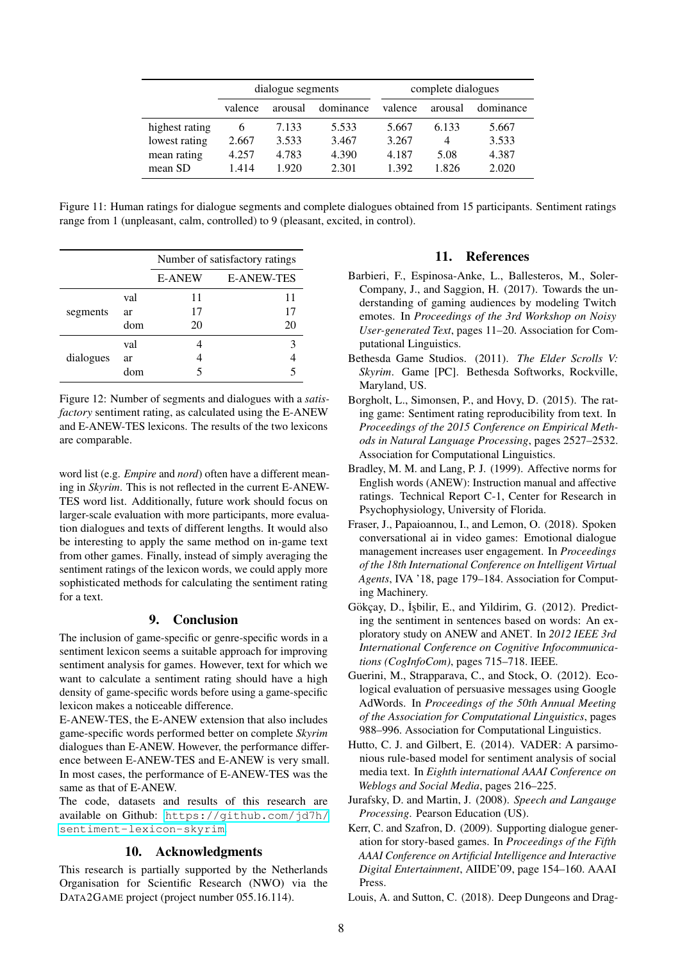|                | dialogue segments |         |           | complete dialogues |         |           |
|----------------|-------------------|---------|-----------|--------------------|---------|-----------|
|                | valence           | arousal | dominance | valence            | arousal | dominance |
| highest rating | b                 | 7.133   | 5.533     | 5.667              | 6.133   | 5.667     |
| lowest rating  | 2.667             | 3.533   | 3.467     | 3.267              | 4       | 3.533     |
| mean rating    | 4.257             | 4.783   | 4.390     | 4.187              | 5.08    | 4.387     |
| mean SD        | 1.414             | 1.920   | 2.301     | 1.392              | 1.826   | 2.020     |

<span id="page-7-11"></span>Figure 11: Human ratings for dialogue segments and complete dialogues obtained from 15 participants. Sentiment ratings range from 1 (unpleasant, calm, controlled) to 9 (pleasant, excited, in control).

|           |     | Number of satisfactory ratings     |    |  |  |
|-----------|-----|------------------------------------|----|--|--|
|           |     | <b>E-ANEW-TES</b><br><b>E-ANEW</b> |    |  |  |
|           | val | 11                                 | 11 |  |  |
| segments  | ar  | 17                                 | 17 |  |  |
|           | dom | 20                                 | 20 |  |  |
|           | val |                                    | 3  |  |  |
| dialogues | ar  |                                    |    |  |  |
|           | dom |                                    | 5  |  |  |

<span id="page-7-12"></span>Figure 12: Number of segments and dialogues with a *satisfactory* sentiment rating, as calculated using the E-ANEW and E-ANEW-TES lexicons. The results of the two lexicons are comparable.

word list (e.g. *Empire* and *nord*) often have a different meaning in *Skyrim*. This is not reflected in the current E-ANEW-TES word list. Additionally, future work should focus on larger-scale evaluation with more participants, more evaluation dialogues and texts of different lengths. It would also be interesting to apply the same method on in-game text from other games. Finally, instead of simply averaging the sentiment ratings of the lexicon words, we could apply more sophisticated methods for calculating the sentiment rating for a text.

## 9. Conclusion

The inclusion of game-specific or genre-specific words in a sentiment lexicon seems a suitable approach for improving sentiment analysis for games. However, text for which we want to calculate a sentiment rating should have a high density of game-specific words before using a game-specific lexicon makes a noticeable difference.

E-ANEW-TES, the E-ANEW extension that also includes game-specific words performed better on complete *Skyrim* dialogues than E-ANEW. However, the performance difference between E-ANEW-TES and E-ANEW is very small. In most cases, the performance of E-ANEW-TES was the same as that of E-ANEW.

The code, datasets and results of this research are available on Github: [https://github.com/jd7h/](https://github.com/jd7h/sentiment-lexicon-skyrim) [sentiment-lexicon-skyrim](https://github.com/jd7h/sentiment-lexicon-skyrim).

## 10. Acknowledgments

This research is partially supported by the Netherlands Organisation for Scientific Research (NWO) via the DATA2GAME project (project number 055.16.114).

## 11. References

- <span id="page-7-9"></span>Barbieri, F., Espinosa-Anke, L., Ballesteros, M., Soler-Company, J., and Saggion, H. (2017). Towards the understanding of gaming audiences by modeling Twitch emotes. In *Proceedings of the 3rd Workshop on Noisy User-generated Text*, pages 11–20. Association for Computational Linguistics.
- <span id="page-7-2"></span>Bethesda Game Studios. (2011). *The Elder Scrolls V: Skyrim*. Game [PC]. Bethesda Softworks, Rockville, Maryland, US.
- <span id="page-7-8"></span>Borgholt, L., Simonsen, P., and Hovy, D. (2015). The rating game: Sentiment rating reproducibility from text. In *Proceedings of the 2015 Conference on Empirical Methods in Natural Language Processing*, pages 2527–2532. Association for Computational Linguistics.
- <span id="page-7-0"></span>Bradley, M. M. and Lang, P. J. (1999). Affective norms for English words (ANEW): Instruction manual and affective ratings. Technical Report C-1, Center for Research in Psychophysiology, University of Florida.
- <span id="page-7-7"></span>Fraser, J., Papaioannou, I., and Lemon, O. (2018). Spoken conversational ai in video games: Emotional dialogue management increases user engagement. In *Proceedings of the 18th International Conference on Intelligent Virtual Agents*, IVA '18, page 179–184. Association for Computing Machinery.
- <span id="page-7-1"></span>Gökçay, D., İşbilir, E., and Yildirim, G. (2012). Predicting the sentiment in sentences based on words: An exploratory study on ANEW and ANET. In *2012 IEEE 3rd International Conference on Cognitive Infocommunications (CogInfoCom)*, pages 715–718. IEEE.
- <span id="page-7-4"></span>Guerini, M., Strapparava, C., and Stock, O. (2012). Ecological evaluation of persuasive messages using Google AdWords. In *Proceedings of the 50th Annual Meeting of the Association for Computational Linguistics*, pages 988–996. Association for Computational Linguistics.
- <span id="page-7-3"></span>Hutto, C. J. and Gilbert, E. (2014). VADER: A parsimonious rule-based model for sentiment analysis of social media text. In *Eighth international AAAI Conference on Weblogs and Social Media*, pages 216–225.
- <span id="page-7-10"></span>Jurafsky, D. and Martin, J. (2008). *Speech and Langauge Processing*. Pearson Education (US).
- <span id="page-7-6"></span>Kerr, C. and Szafron, D. (2009). Supporting dialogue generation for story-based games. In *Proceedings of the Fifth AAAI Conference on Artificial Intelligence and Interactive Digital Entertainment*, AIIDE'09, page 154–160. AAAI Press.
- <span id="page-7-5"></span>Louis, A. and Sutton, C. (2018). Deep Dungeons and Drag-